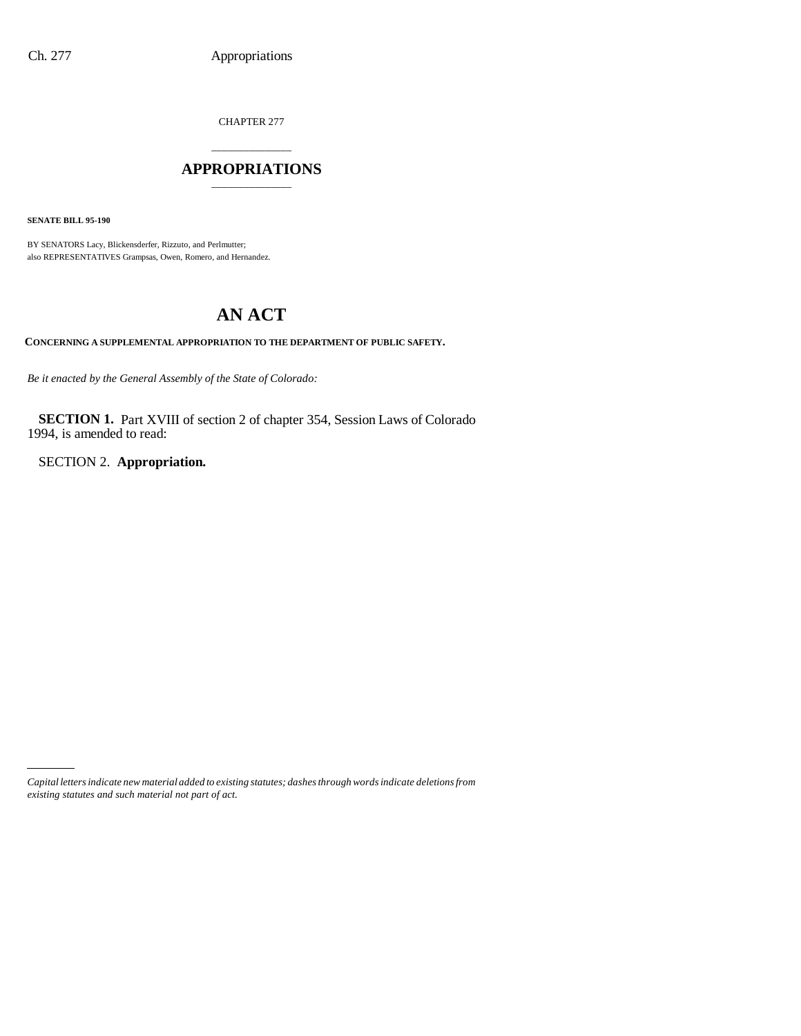CHAPTER 277

# \_\_\_\_\_\_\_\_\_\_\_\_\_\_\_ **APPROPRIATIONS** \_\_\_\_\_\_\_\_\_\_\_\_\_\_\_

**SENATE BILL 95-190**

BY SENATORS Lacy, Blickensderfer, Rizzuto, and Perlmutter; also REPRESENTATIVES Grampsas, Owen, Romero, and Hernandez.

# **AN ACT**

**CONCERNING A SUPPLEMENTAL APPROPRIATION TO THE DEPARTMENT OF PUBLIC SAFETY.**

*Be it enacted by the General Assembly of the State of Colorado:*

**SECTION 1.** Part XVIII of section 2 of chapter 354, Session Laws of Colorado 1994, is amended to read:

SECTION 2. **Appropriation.**

*Capital letters indicate new material added to existing statutes; dashes through words indicate deletions from existing statutes and such material not part of act.*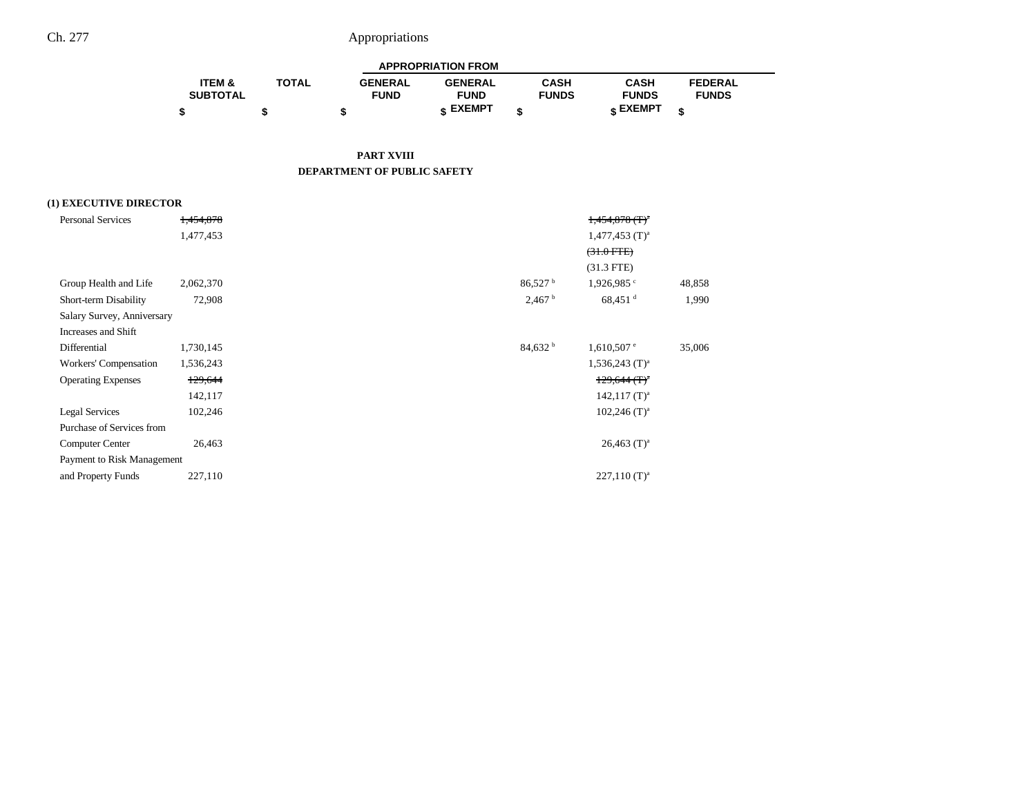| <b>APPROPRIATION FROM</b> |              |                |                 |              |              |                |  |  |  |  |
|---------------------------|--------------|----------------|-----------------|--------------|--------------|----------------|--|--|--|--|
| <b>ITEM &amp;</b>         | <b>TOTAL</b> | <b>GENERAL</b> | <b>GENERAL</b>  | CASH         | CASH         | <b>FEDERAL</b> |  |  |  |  |
| <b>SUBTOTAL</b>           |              | <b>FUND</b>    | <b>FUND</b>     | <b>FUNDS</b> | <b>FUNDS</b> | <b>FUNDS</b>   |  |  |  |  |
|                           |              |                | <b>« EXEMPT</b> |              | e EXEMPT     |                |  |  |  |  |

#### **PART XVIII DEPARTMENT OF PUBLIC SAFETY**

### **(1) EXECUTIVE DIRECTOR**

| <b>Personal Services</b>   | 1,454,878 | $1,454,878$ (T) <sup>a</sup>                    |                            |
|----------------------------|-----------|-------------------------------------------------|----------------------------|
|                            | 1,477,453 | $1,477,453$ (T) <sup>a</sup>                    |                            |
|                            |           | $(31.0$ FTE $)$                                 |                            |
|                            |           | $(31.3$ FTE)                                    |                            |
| Group Health and Life      | 2,062,370 | $86,527$ <sup>b</sup><br>$1,926,985$ °          | 48,858                     |
| Short-term Disability      | 72,908    | 2,467 <sup>b</sup><br>$68,451$ <sup>d</sup>     | 1,990                      |
| Salary Survey, Anniversary |           |                                                 |                            |
| Increases and Shift        |           |                                                 |                            |
| Differential               | 1,730,145 | 84,632 <sup>b</sup><br>$1,610,507$ <sup>e</sup> | 35,006                     |
| Workers' Compensation      | 1,536,243 | $1,536,243$ (T) <sup>a</sup>                    |                            |
| <b>Operating Expenses</b>  | 129,644   |                                                 | $129,644$ (T) <sup>a</sup> |
|                            | 142,117   |                                                 | $142,117$ (T) <sup>a</sup> |
| <b>Legal Services</b>      | 102,246   |                                                 | $102,246$ (T) <sup>a</sup> |
| Purchase of Services from  |           |                                                 |                            |
| Computer Center            | 26,463    |                                                 | $26,463$ (T) <sup>a</sup>  |
| Payment to Risk Management |           |                                                 |                            |
| and Property Funds         | 227,110   |                                                 | $227,110$ (T) <sup>a</sup> |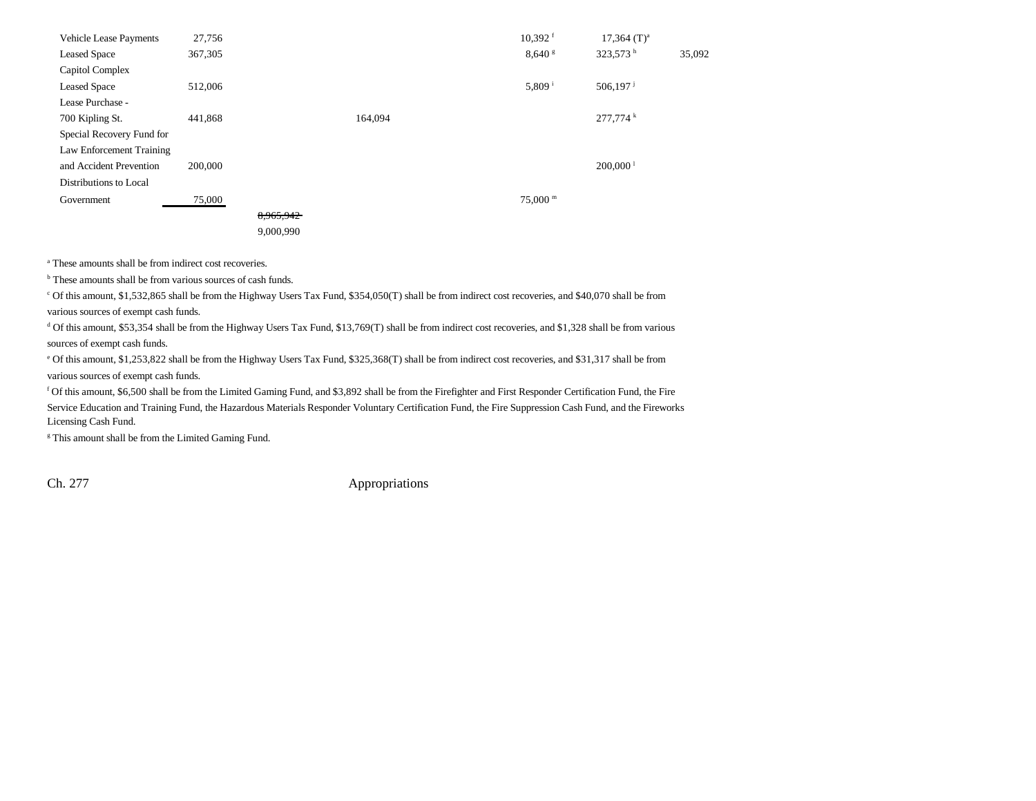| <b>Vehicle Lease Payments</b> | 27,756  |           |         | $10,392$ <sup>f</sup> | $17,364$ (T) <sup>a</sup> |        |
|-------------------------------|---------|-----------|---------|-----------------------|---------------------------|--------|
| <b>Leased Space</b>           | 367,305 |           |         | $8,640$ s             | 323,573 h                 | 35,092 |
| Capitol Complex               |         |           |         |                       |                           |        |
| <b>Leased Space</b>           | 512,006 |           |         | 5,809 $^{i}$          | 506,197 $^{j}$            |        |
| Lease Purchase -              |         |           |         |                       |                           |        |
| 700 Kipling St.               | 441,868 |           | 164,094 |                       | 277,774 k                 |        |
| Special Recovery Fund for     |         |           |         |                       |                           |        |
| Law Enforcement Training      |         |           |         |                       |                           |        |
| and Accident Prevention       | 200,000 |           |         |                       | $200,000$ <sup>1</sup>    |        |
| Distributions to Local        |         |           |         |                       |                           |        |
| Government                    | 75,000  |           |         | $75,000$ m            |                           |        |
|                               |         | 8,965,942 |         |                       |                           |        |
|                               |         | 9,000,990 |         |                       |                           |        |

<sup>a</sup> These amounts shall be from indirect cost recoveries.

<sup>b</sup> These amounts shall be from various sources of cash funds.

c Of this amount, \$1,532,865 shall be from the Highway Users Tax Fund, \$354,050(T) shall be from indirect cost recoveries, and \$40,070 shall be from various sources of exempt cash funds.

d Of this amount, \$53,354 shall be from the Highway Users Tax Fund, \$13,769(T) shall be from indirect cost recoveries, and \$1,328 shall be from various sources of exempt cash funds.

e Of this amount, \$1,253,822 shall be from the Highway Users Tax Fund, \$325,368(T) shall be from indirect cost recoveries, and \$31,317 shall be from various sources of exempt cash funds.

f Of this amount, \$6,500 shall be from the Limited Gaming Fund, and \$3,892 shall be from the Firefighter and First Responder Certification Fund, the Fire Service Education and Training Fund, the Hazardous Materials Responder Voluntary Certification Fund, the Fire Suppression Cash Fund, and the Fireworks Licensing Cash Fund.

<sup>g</sup> This amount shall be from the Limited Gaming Fund.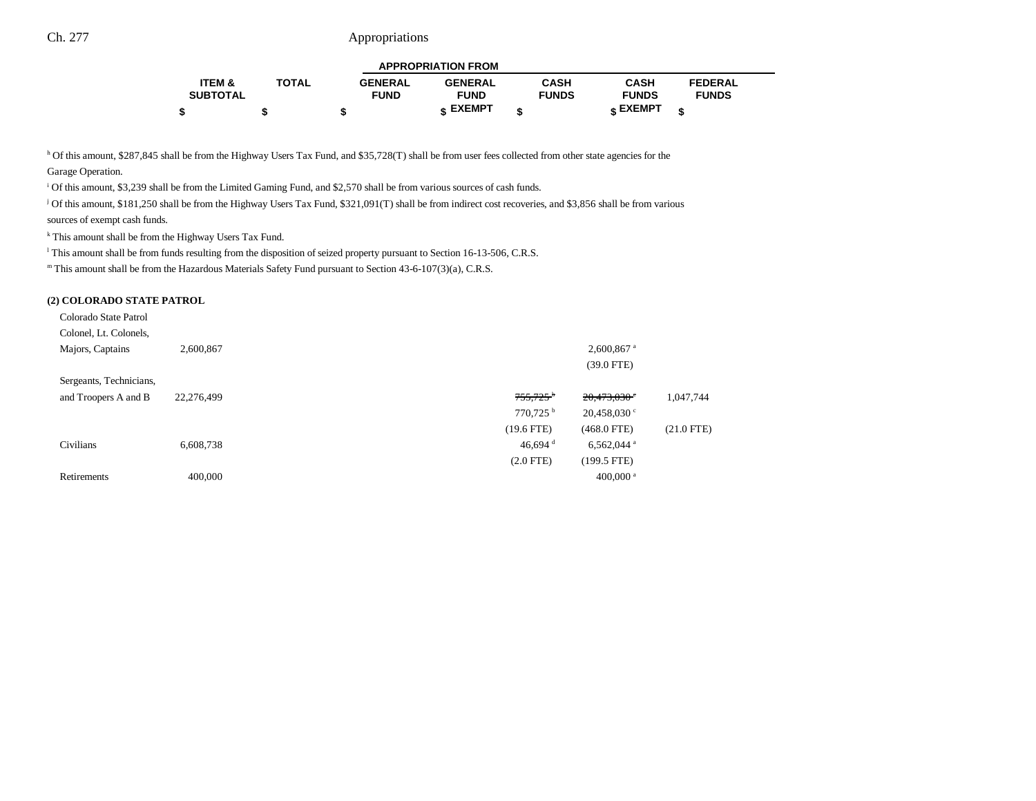| <b>APPROPRIATION FROM</b> |              |                |                 |              |              |                |  |  |  |  |
|---------------------------|--------------|----------------|-----------------|--------------|--------------|----------------|--|--|--|--|
| <b>ITEM &amp;</b>         | <b>TOTAL</b> | <b>GENERAL</b> | <b>GENERAL</b>  | <b>CASH</b>  | <b>CASH</b>  | <b>FEDERAL</b> |  |  |  |  |
| <b>SUBTOTAL</b>           |              | <b>FUND</b>    | <b>FUND</b>     | <b>FUNDS</b> | <b>FUNDS</b> | <b>FUNDS</b>   |  |  |  |  |
|                           |              |                | <b>« EXEMPT</b> |              | е ЕХЕМРТ     |                |  |  |  |  |

h Of this amount, \$287,845 shall be from the Highway Users Tax Fund, and \$35,728(T) shall be from user fees collected from other state agencies for the

Garage Operation.

i Of this amount, \$3,239 shall be from the Limited Gaming Fund, and \$2,570 shall be from various sources of cash funds.

j Of this amount, \$181,250 shall be from the Highway Users Tax Fund, \$321,091(T) shall be from indirect cost recoveries, and \$3,856 shall be from various sources of exempt cash funds.

k This amount shall be from the Highway Users Tax Fund.

<sup>1</sup> This amount shall be from funds resulting from the disposition of seized property pursuant to Section 16-13-506, C.R.S.

m This amount shall be from the Hazardous Materials Safety Fund pursuant to Section 43-6-107(3)(a), C.R.S.

#### **(2) COLORADO STATE PATROL**

| Colorado State Patrol   |            |                                                     |              |
|-------------------------|------------|-----------------------------------------------------|--------------|
| Colonel, Lt. Colonels,  |            |                                                     |              |
| Majors, Captains        | 2,600,867  | $2,600,867$ <sup>a</sup>                            |              |
|                         |            | $(39.0$ FTE)                                        |              |
| Sergeants, Technicians, |            |                                                     |              |
| and Troopers A and B    | 22,276,499 | $755,725$ <sup>b</sup><br>$20,473,030$ <sup>c</sup> | 1,047,744    |
|                         |            | $770,725$ <sup>b</sup><br>$20,458,030$ °            |              |
|                         |            | $(19.6$ FTE)<br>$(468.0$ FTE)                       | $(21.0$ FTE) |
| Civilians               | 6,608,738  | 46,694 $^{\rm d}$<br>$6,562,044$ <sup>a</sup>       |              |
|                         |            | $(2.0$ FTE)<br>$(199.5$ FTE)                        |              |
| Retirements             | 400,000    | 400,000 $a$                                         |              |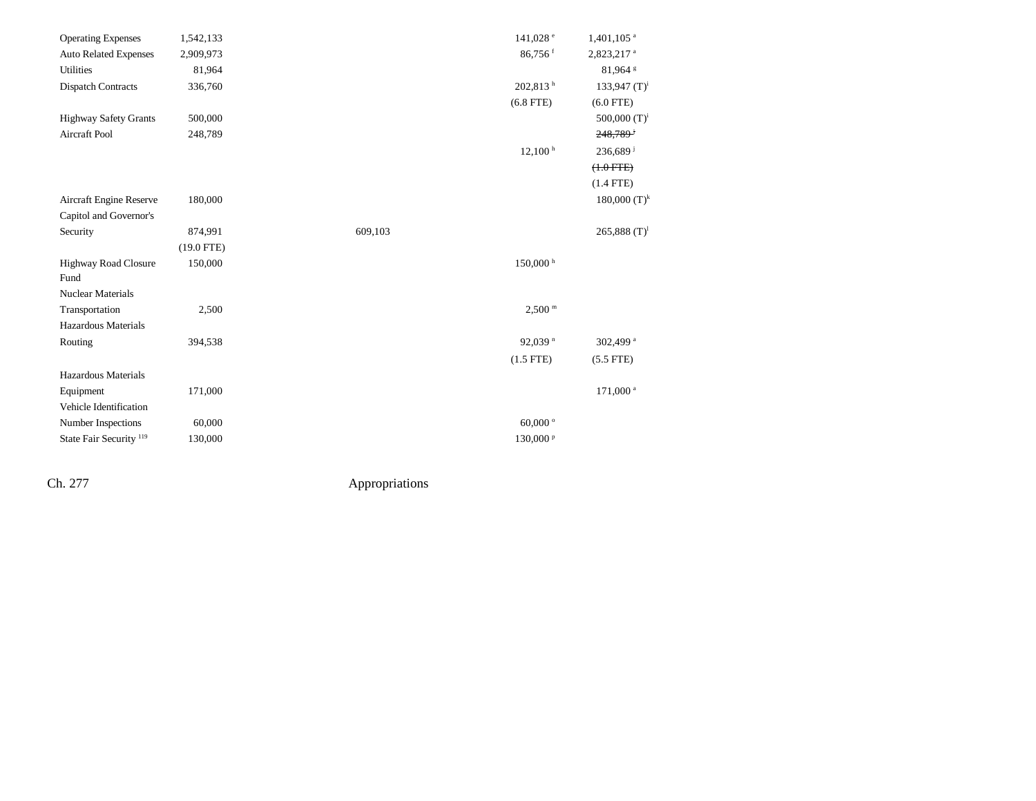| <b>Operating Expenses</b>           | 1,542,133    | 141,028 <sup>e</sup> | $1,401,105$ <sup>a</sup>   |
|-------------------------------------|--------------|----------------------|----------------------------|
| <b>Auto Related Expenses</b>        | 2,909,973    | 86,756 <sup>f</sup>  | 2,823,217 <sup>a</sup>     |
| Utilities                           | 81,964       |                      | 81,964 <sup>s</sup>        |
| <b>Dispatch Contracts</b>           | 336,760      | 202,813 <sup>h</sup> | 133,947 $(T)^i$            |
|                                     |              | $(6.8$ FTE)          | $(6.0$ FTE)                |
| <b>Highway Safety Grants</b>        | 500,000      |                      | 500,000 $(T)^i$            |
| <b>Aircraft Pool</b>                | 248,789      |                      | $248,789$ <sup>i</sup>     |
|                                     |              | 12,100 h             | $236,689$ <sup>j</sup>     |
|                                     |              |                      | $(+.0$ FTE $)$             |
|                                     |              |                      | $(1.4$ FTE)                |
| Aircraft Engine Reserve             | 180,000      |                      | $180,000$ $(T)^k$          |
| Capitol and Governor's              |              |                      |                            |
| Security                            | 874,991      | 609,103              | $265,888$ (T) <sup>1</sup> |
|                                     | $(19.0$ FTE) |                      |                            |
| <b>Highway Road Closure</b><br>Fund | 150,000      | $150,000$ h          |                            |
| <b>Nuclear Materials</b>            |              |                      |                            |
| Transportation                      | 2,500        | $2,500$ m            |                            |
| Hazardous Materials                 |              |                      |                            |
| Routing                             | 394,538      | 92,039 <sup>n</sup>  | 302,499 <sup>a</sup>       |
|                                     |              | $(1.5$ FTE)          | $(5.5$ FTE)                |
| Hazardous Materials                 |              |                      |                            |
| Equipment                           | 171,000      |                      | 171,000 <sup>a</sup>       |
| Vehicle Identification              |              |                      |                            |
| Number Inspections                  | 60,000       | 60,000 $^{\circ}$    |                            |
| State Fair Security <sup>119</sup>  | 130,000      | 130,000 <sup>p</sup> |                            |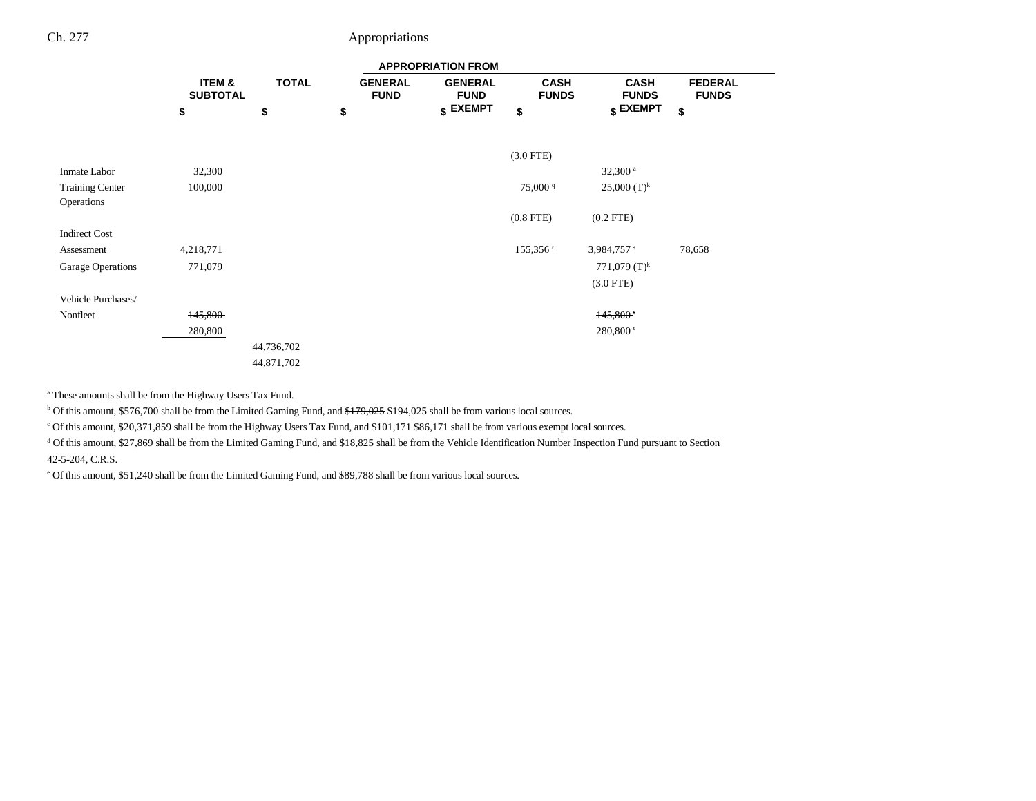|                        |                           |              |                               | <b>APPROPRIATION FROM</b>     |                             |                             |                                |
|------------------------|---------------------------|--------------|-------------------------------|-------------------------------|-----------------------------|-----------------------------|--------------------------------|
|                        | ITEM &<br><b>SUBTOTAL</b> | <b>TOTAL</b> | <b>GENERAL</b><br><b>FUND</b> | <b>GENERAL</b><br><b>FUND</b> | <b>CASH</b><br><b>FUNDS</b> | <b>CASH</b><br><b>FUNDS</b> | <b>FEDERAL</b><br><b>FUNDS</b> |
|                        | \$                        | \$           | \$                            | $$$ EXEMPT                    | \$                          | \$ EXEMPT                   | \$                             |
|                        |                           |              |                               |                               |                             |                             |                                |
|                        |                           |              |                               |                               | $(3.0$ FTE)                 |                             |                                |
| Inmate Labor           | 32,300                    |              |                               |                               |                             | $32,300$ <sup>a</sup>       |                                |
| <b>Training Center</b> | 100,000                   |              |                               |                               | 75,000 <sup>q</sup>         | 25,000 $(T)^k$              |                                |
| Operations             |                           |              |                               |                               |                             |                             |                                |
|                        |                           |              |                               |                               | $(0.8$ FTE $)$              | $(0.2$ FTE $)$              |                                |
| <b>Indirect Cost</b>   |                           |              |                               |                               |                             |                             |                                |
| Assessment             | 4,218,771                 |              |                               |                               | $155,356$ <sup>r</sup>      | $3,984,757$ s               | 78,658                         |
| Garage Operations      | 771,079                   |              |                               |                               |                             | 771,079 $(T)^k$             |                                |
|                        |                           |              |                               |                               |                             | $(3.0$ FTE)                 |                                |
| Vehicle Purchases/     |                           |              |                               |                               |                             |                             |                                |
| Nonfleet               | 145,800                   |              |                               |                               |                             | $145,800$ <sup>t</sup>      |                                |
|                        | 280,800                   |              |                               |                               |                             | $280,800$ <sup>t</sup>      |                                |
|                        |                           | 44,736,702   |                               |                               |                             |                             |                                |
|                        |                           | 44,871,702   |                               |                               |                             |                             |                                |

a These amounts shall be from the Highway Users Tax Fund.

 $b$  Of this amount, \$576,700 shall be from the Limited Gaming Fund, and  $$179,025$  \$194,025 shall be from various local sources.

<sup>c</sup> Of this amount, \$20,371,859 shall be from the Highway Users Tax Fund, and \$101,171 \$86,171 shall be from various exempt local sources.

<sup>d</sup> Of this amount, \$27,869 shall be from the Limited Gaming Fund, and \$18,825 shall be from the Vehicle Identification Number Inspection Fund pursuant to Section

42-5-204, C.R.S.

e Of this amount, \$51,240 shall be from the Limited Gaming Fund, and \$89,788 shall be from various local sources.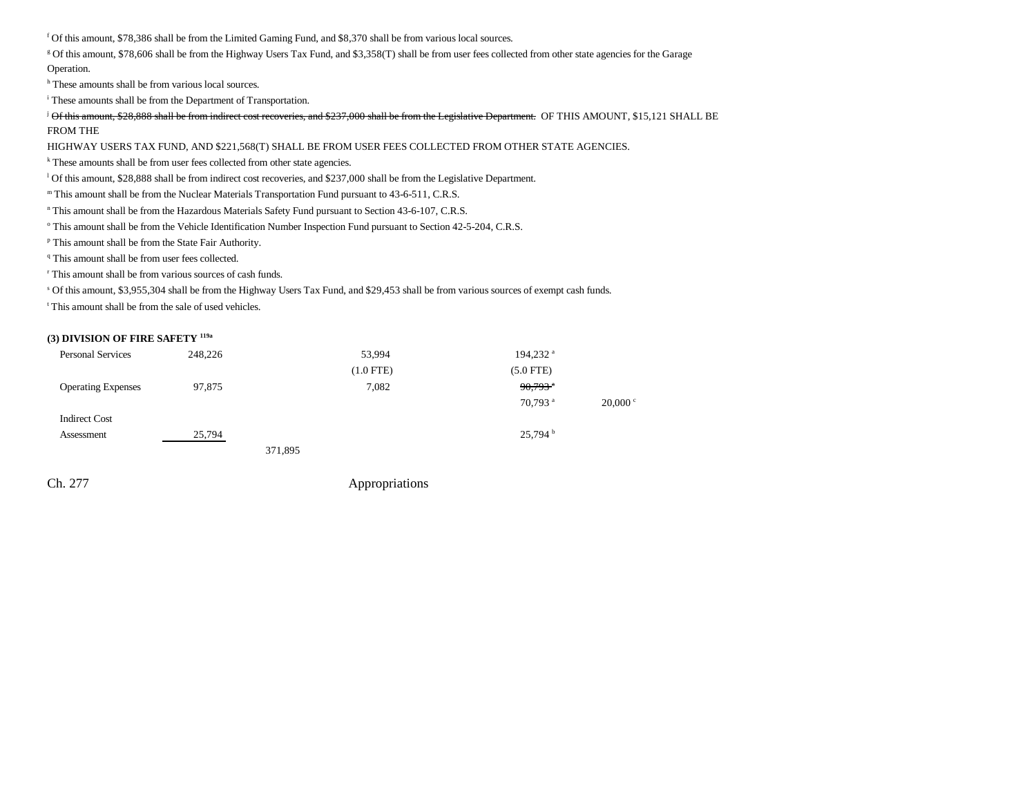f Of this amount, \$78,386 shall be from the Limited Gaming Fund, and \$8,370 shall be from various local sources.

g Of this amount, \$78,606 shall be from the Highway Users Tax Fund, and \$3,358(T) shall be from user fees collected from other state agencies for the Garage Operation.

h These amounts shall be from various local sources.

i These amounts shall be from the Department of Transportation.

 $\beta$  Of this amount, \$28,888 shall be from indirect cost recoveries, and \$237,000 shall be from the Legislative Department. OF THIS AMOUNT, \$15,121 SHALL BE FROM THE

HIGHWAY USERS TAX FUND, AND \$221,568(T) SHALL BE FROM USER FEES COLLECTED FROM OTHER STATE AGENCIES.

<sup>k</sup> These amounts shall be from user fees collected from other state agencies.

l Of this amount, \$28,888 shall be from indirect cost recoveries, and \$237,000 shall be from the Legislative Department.

m This amount shall be from the Nuclear Materials Transportation Fund pursuant to 43-6-511, C.R.S.

<sup>n</sup> This amount shall be from the Hazardous Materials Safety Fund pursuant to Section 43-6-107, C.R.S.

<sup>o</sup> This amount shall be from the Vehicle Identification Number Inspection Fund pursuant to Section 42-5-204, C.R.S.

p This amount shall be from the State Fair Authority.

<sup>q</sup> This amount shall be from user fees collected.

r This amount shall be from various sources of cash funds.

s Of this amount, \$3,955,304 shall be from the Highway Users Tax Fund, and \$29,453 shall be from various sources of exempt cash funds.

t This amount shall be from the sale of used vehicles.

#### **(3) DIVISION OF FIRE SAFETY 119a**

| <b>Personal Services</b>  | 248,226 | 53,994         | 194,232 <sup>a</sup>  |                   |
|---------------------------|---------|----------------|-----------------------|-------------------|
|                           |         | $(1.0$ FTE $)$ | $(5.0$ FTE)           |                   |
| <b>Operating Expenses</b> | 97,875  | 7,082          | $90,793$ <sup>*</sup> |                   |
|                           |         |                | $70.793$ <sup>a</sup> | $20,000 \text{°}$ |
| <b>Indirect Cost</b>      |         |                |                       |                   |
| Assessment                | 25,794  |                | 25,794 <sup>b</sup>   |                   |
|                           |         | 371,895        |                       |                   |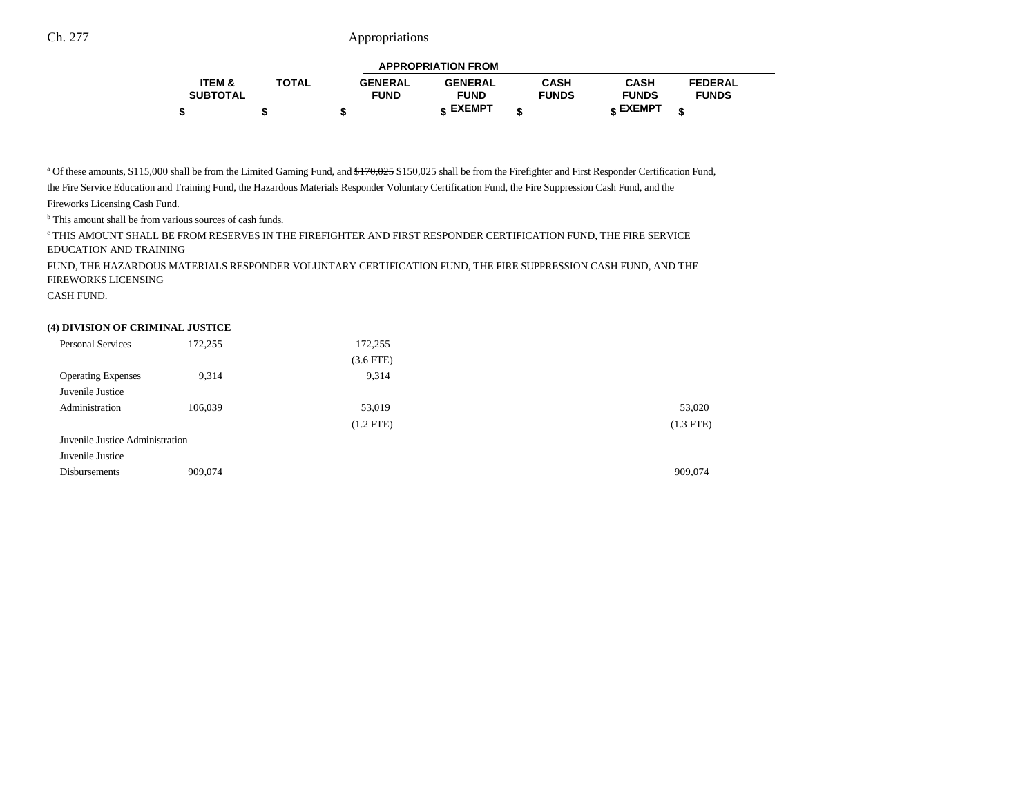| <b>APPROPRIATION FROM</b> |              |                |                |              |                 |                |  |  |  |  |
|---------------------------|--------------|----------------|----------------|--------------|-----------------|----------------|--|--|--|--|
| <b>ITEM &amp;</b>         | <b>TOTAL</b> | <b>GENERAL</b> | <b>GENERAL</b> | <b>CASH</b>  | <b>CASH</b>     | <b>FEDERAL</b> |  |  |  |  |
| <b>SUBTOTAL</b>           |              | <b>FUND</b>    | <b>FUND</b>    | <b>FUNDS</b> | <b>FUNDS</b>    | <b>FUNDS</b>   |  |  |  |  |
|                           |              | -12            | ← EXEMPT       | ¢            | <b>« EXEMPT</b> |                |  |  |  |  |

<sup>a</sup> Of these amounts, \$115,000 shall be from the Limited Gaming Fund, and \$<del>170,025</del> \$150,025 shall be from the Firefighter and First Responder Certification Fund,

the Fire Service Education and Training Fund, the Hazardous Materials Responder Voluntary Certification Fund, the Fire Suppression Cash Fund, and the

Fireworks Licensing Cash Fund.

<sup>b</sup> This amount shall be from various sources of cash funds.

 $^\circ$  THIS AMOUNT SHALL BE FROM RESERVES IN THE FIREFIGHTER AND FIRST RESPONDER CERTIFICATION FUND, THE FIRE SERVICE EDUCATION AND TRAINING

FUND, THE HAZARDOUS MATERIALS RESPONDER VOLUNTARY CERTIFICATION FUND, THE FIRE SUPPRESSION CASH FUND, AND THE FIREWORKS LICENSING

CASH FUND.

#### **(4) DIVISION OF CRIMINAL JUSTICE**

| <b>Personal Services</b>        | 172,255 | 172,255<br>$(3.6$ FTE $)$ |             |
|---------------------------------|---------|---------------------------|-------------|
| <b>Operating Expenses</b>       | 9,314   | 9,314                     |             |
| Juvenile Justice                |         |                           |             |
| Administration                  | 106,039 | 53,019                    | 53,020      |
|                                 |         | $(1.2$ FTE)               | $(1.3$ FTE) |
| Juvenile Justice Administration |         |                           |             |
| Juvenile Justice                |         |                           |             |
| <b>Disbursements</b>            | 909,074 |                           | 909,074     |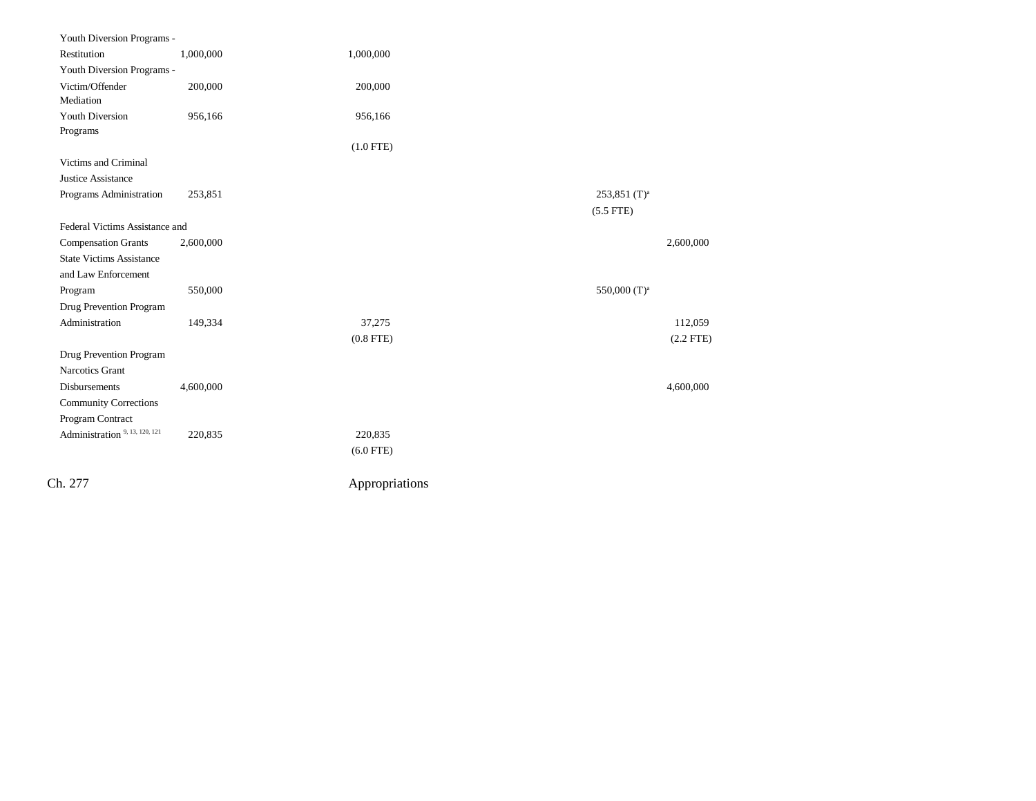| Youth Diversion Programs -                |           |                |                            |             |
|-------------------------------------------|-----------|----------------|----------------------------|-------------|
| Restitution                               | 1,000,000 | 1,000,000      |                            |             |
| Youth Diversion Programs -                |           |                |                            |             |
| Victim/Offender                           | 200,000   | 200,000        |                            |             |
| Mediation                                 |           |                |                            |             |
| <b>Youth Diversion</b>                    | 956,166   | 956,166        |                            |             |
| Programs                                  |           |                |                            |             |
|                                           |           | $(1.0$ FTE)    |                            |             |
| Victims and Criminal                      |           |                |                            |             |
| Justice Assistance                        |           |                |                            |             |
| Programs Administration                   | 253,851   |                | $253,851$ (T) <sup>a</sup> |             |
|                                           |           |                | $(5.5$ FTE)                |             |
| Federal Victims Assistance and            |           |                |                            |             |
| <b>Compensation Grants</b>                | 2,600,000 |                |                            | 2,600,000   |
| <b>State Victims Assistance</b>           |           |                |                            |             |
| and Law Enforcement                       |           |                |                            |             |
| Program                                   | 550,000   |                | 550,000 (T) <sup>a</sup>   |             |
| Drug Prevention Program                   |           |                |                            |             |
| Administration                            | 149,334   | 37,275         |                            | 112,059     |
|                                           |           | $(0.8$ FTE)    |                            | $(2.2$ FTE) |
| Drug Prevention Program                   |           |                |                            |             |
| Narcotics Grant                           |           |                |                            |             |
| Disbursements                             | 4,600,000 |                |                            | 4,600,000   |
| <b>Community Corrections</b>              |           |                |                            |             |
| Program Contract                          |           |                |                            |             |
| Administration <sup>9, 13, 120, 121</sup> | 220,835   | 220,835        |                            |             |
|                                           |           | $(6.0$ FTE)    |                            |             |
|                                           |           |                |                            |             |
| Ch. 277                                   |           | Appropriations |                            |             |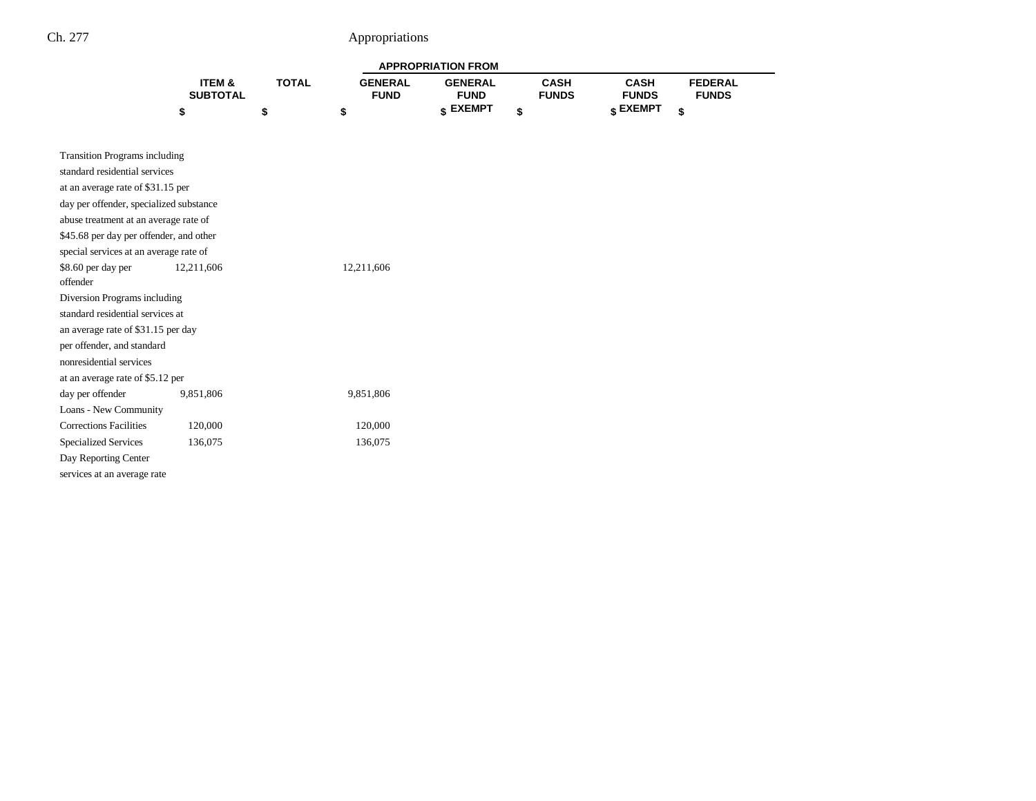| <b>APPROPRIATION FROM</b> |       |                |                 |              |              |                |  |  |  |  |
|---------------------------|-------|----------------|-----------------|--------------|--------------|----------------|--|--|--|--|
| <b>ITEM &amp;</b>         | TOTAL | <b>GENERAL</b> | <b>GENERAL</b>  | CASH         | CASH         | <b>FEDERAL</b> |  |  |  |  |
| <b>SUBTOTAL</b>           |       | <b>FUND</b>    | <b>FUND</b>     | <b>FUNDS</b> | <b>FUNDS</b> | <b>FUNDS</b>   |  |  |  |  |
|                           |       |                | <b>« EXEMPT</b> |              | e EXEMPT ہ   |                |  |  |  |  |

| <b>Transition Programs including</b>    |            |            |  |  |  |  |  |  |  |  |
|-----------------------------------------|------------|------------|--|--|--|--|--|--|--|--|
| standard residential services           |            |            |  |  |  |  |  |  |  |  |
| at an average rate of \$31.15 per       |            |            |  |  |  |  |  |  |  |  |
| day per offender, specialized substance |            |            |  |  |  |  |  |  |  |  |
| abuse treatment at an average rate of   |            |            |  |  |  |  |  |  |  |  |
| \$45.68 per day per offender, and other |            |            |  |  |  |  |  |  |  |  |
| special services at an average rate of  |            |            |  |  |  |  |  |  |  |  |
| \$8.60 per day per                      | 12,211,606 | 12,211,606 |  |  |  |  |  |  |  |  |
| offender                                |            |            |  |  |  |  |  |  |  |  |
| Diversion Programs including            |            |            |  |  |  |  |  |  |  |  |
| standard residential services at        |            |            |  |  |  |  |  |  |  |  |
| an average rate of \$31.15 per day      |            |            |  |  |  |  |  |  |  |  |
| per offender, and standard              |            |            |  |  |  |  |  |  |  |  |
| nonresidential services                 |            |            |  |  |  |  |  |  |  |  |
| at an average rate of \$5.12 per        |            |            |  |  |  |  |  |  |  |  |
| day per offender                        | 9,851,806  | 9,851,806  |  |  |  |  |  |  |  |  |
| Loans - New Community                   |            |            |  |  |  |  |  |  |  |  |
| <b>Corrections Facilities</b>           | 120,000    | 120,000    |  |  |  |  |  |  |  |  |
| <b>Specialized Services</b>             | 136,075    | 136,075    |  |  |  |  |  |  |  |  |
| Day Reporting Center                    |            |            |  |  |  |  |  |  |  |  |
| services at an average rate             |            |            |  |  |  |  |  |  |  |  |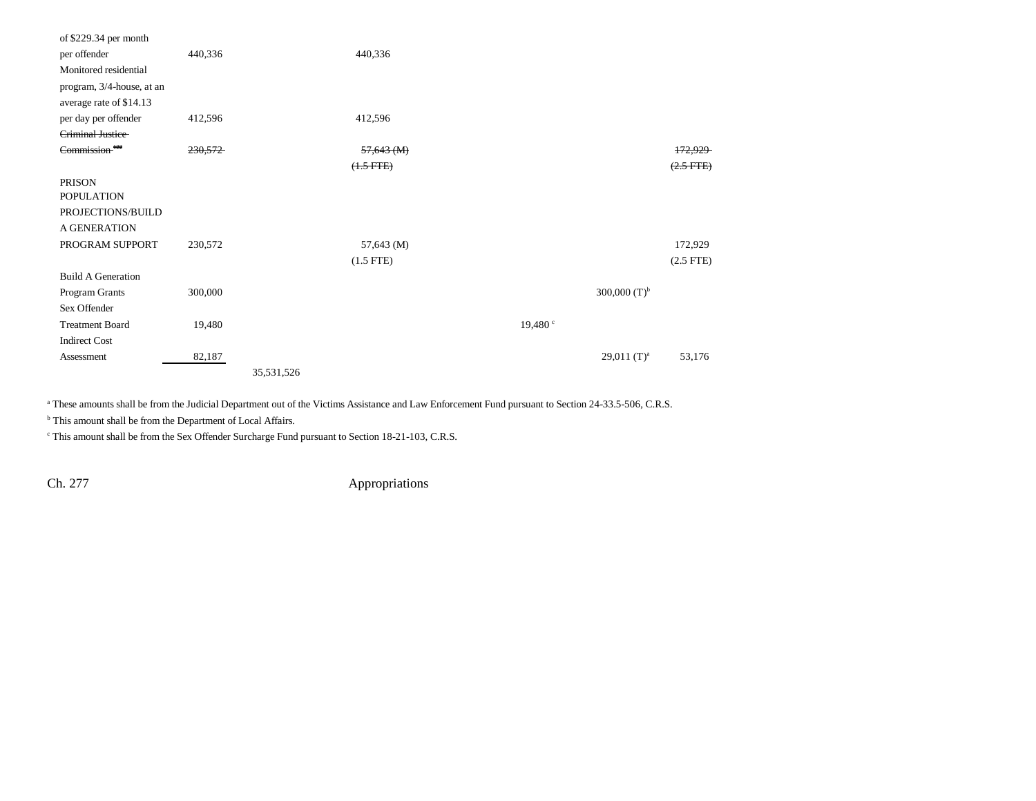| of $$229.34$ per month    |         |            |              |                     |                           |                |  |
|---------------------------|---------|------------|--------------|---------------------|---------------------------|----------------|--|
| per offender              | 440,336 |            | 440,336      |                     |                           |                |  |
| Monitored residential     |         |            |              |                     |                           |                |  |
| program, 3/4-house, at an |         |            |              |                     |                           |                |  |
| average rate of \$14.13   |         |            |              |                     |                           |                |  |
| per day per offender      | 412,596 |            | 412,596      |                     |                           |                |  |
| Criminal Justice          |         |            |              |                     |                           |                |  |
| Commission <sup>122</sup> | 230,572 |            | $57,643$ (M) |                     |                           | 172,929        |  |
|                           |         |            | $(1.5 FTE)$  |                     |                           | $(2.5$ FTE $)$ |  |
| <b>PRISON</b>             |         |            |              |                     |                           |                |  |
| <b>POPULATION</b>         |         |            |              |                     |                           |                |  |
| PROJECTIONS/BUILD         |         |            |              |                     |                           |                |  |
| A GENERATION              |         |            |              |                     |                           |                |  |
| PROGRAM SUPPORT           | 230,572 |            | 57,643 (M)   |                     |                           | 172,929        |  |
|                           |         |            | $(1.5$ FTE)  |                     |                           | $(2.5$ FTE)    |  |
| <b>Build A Generation</b> |         |            |              |                     |                           |                |  |
| Program Grants            | 300,000 |            |              |                     | 300,000 $(T)^{b}$         |                |  |
| Sex Offender              |         |            |              |                     |                           |                |  |
| <b>Treatment Board</b>    | 19,480  |            |              | 19,480 <sup>c</sup> |                           |                |  |
| <b>Indirect Cost</b>      |         |            |              |                     |                           |                |  |
| Assessment                | 82,187  |            |              |                     | $29,011$ (T) <sup>a</sup> | 53,176         |  |
|                           |         | 35,531,526 |              |                     |                           |                |  |

<sup>a</sup> These amounts shall be from the Judicial Department out of the Victims Assistance and Law Enforcement Fund pursuant to Section 24-33.5-506, C.R.S.

<sup>b</sup> This amount shall be from the Department of Local Affairs.

c This amount shall be from the Sex Offender Surcharge Fund pursuant to Section 18-21-103, C.R.S.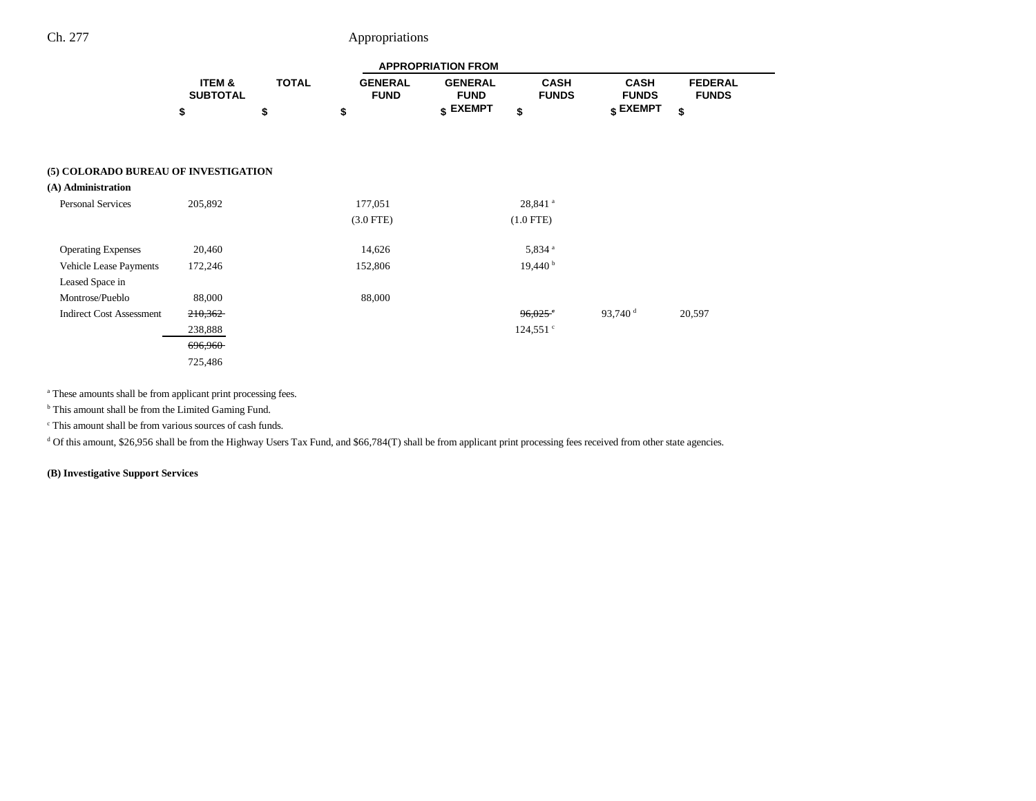|                                      | <b>APPROPRIATION FROM</b> |              |                               |                               |                             |                             |                                |
|--------------------------------------|---------------------------|--------------|-------------------------------|-------------------------------|-----------------------------|-----------------------------|--------------------------------|
|                                      | ITEM &<br><b>SUBTOTAL</b> | <b>TOTAL</b> | <b>GENERAL</b><br><b>FUND</b> | <b>GENERAL</b><br><b>FUND</b> | <b>CASH</b><br><b>FUNDS</b> | <b>CASH</b><br><b>FUNDS</b> | <b>FEDERAL</b><br><b>FUNDS</b> |
|                                      | \$                        | \$           | \$                            | \$ EXEMPT                     | \$                          | $$$ EXEMPT                  | \$                             |
|                                      |                           |              |                               |                               |                             |                             |                                |
| (5) COLORADO BUREAU OF INVESTIGATION |                           |              |                               |                               |                             |                             |                                |
| (A) Administration                   |                           |              |                               |                               |                             |                             |                                |
| <b>Personal Services</b>             | 205,892                   |              | 177,051                       |                               | 28,841 <sup>a</sup>         |                             |                                |
|                                      |                           |              | $(3.0$ FTE)                   |                               | $(1.0$ FTE)                 |                             |                                |
| <b>Operating Expenses</b>            | 20,460                    |              | 14,626                        |                               | 5,834 <sup>a</sup>          |                             |                                |
| Vehicle Lease Payments               | 172,246                   |              | 152,806                       |                               | 19,440 <sup>b</sup>         |                             |                                |
| Leased Space in                      |                           |              |                               |                               |                             |                             |                                |
| Montrose/Pueblo                      | 88,000                    |              | 88,000                        |                               |                             |                             |                                |
| <b>Indirect Cost Assessment</b>      | 210,362                   |              |                               |                               | $96,025$ <sup>e</sup>       | 93,740 $^{\rm d}$           | 20,597                         |
|                                      | 238,888                   |              |                               |                               | $124,551$ $\degree$         |                             |                                |
|                                      | <del>696,960</del>        |              |                               |                               |                             |                             |                                |
|                                      | 725,486                   |              |                               |                               |                             |                             |                                |

<sup>a</sup> These amounts shall be from applicant print processing fees.

<sup>b</sup> This amount shall be from the Limited Gaming Fund.

c This amount shall be from various sources of cash funds.

 $d$  Of this amount, \$26,956 shall be from the Highway Users Tax Fund, and \$66,784(T) shall be from applicant print processing fees received from other state agencies.

**(B) Investigative Support Services**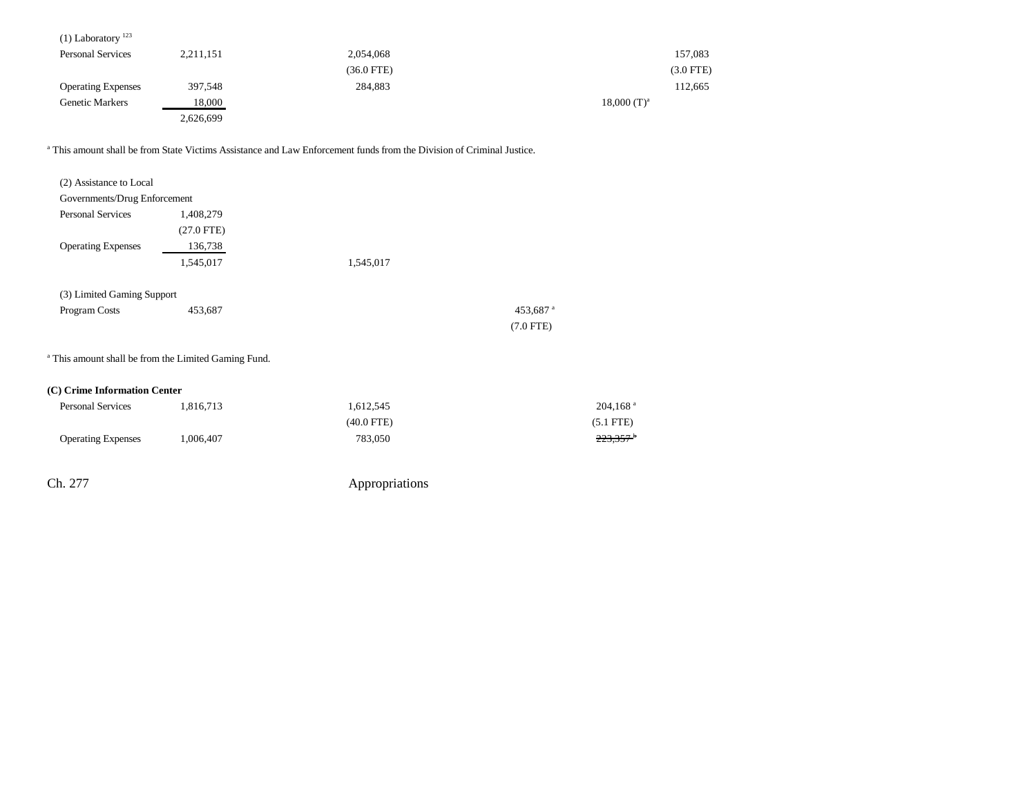| $(1)$ Laboratory <sup>123</sup> |           |              |                           |
|---------------------------------|-----------|--------------|---------------------------|
| <b>Personal Services</b>        | 2,211,151 | 2,054,068    | 157,083                   |
|                                 |           | $(36.0$ FTE) | $(3.0$ FTE)               |
| <b>Operating Expenses</b>       | 397,548   | 284,883      | 112,665                   |
| <b>Genetic Markers</b>          | 18,000    |              | $18,000$ (T) <sup>a</sup> |
|                                 | 2,626,699 |              |                           |

a This amount shall be from State Victims Assistance and Law Enforcement funds from the Division of Criminal Justice.

| (2) Assistance to Local      |                                                                 |              |                        |
|------------------------------|-----------------------------------------------------------------|--------------|------------------------|
| Governments/Drug Enforcement |                                                                 |              |                        |
| <b>Personal Services</b>     | 1,408,279                                                       |              |                        |
|                              | $(27.0$ FTE)                                                    |              |                        |
| <b>Operating Expenses</b>    | 136,738                                                         |              |                        |
|                              | 1,545,017                                                       | 1,545,017    |                        |
| (3) Limited Gaming Support   |                                                                 |              |                        |
| Program Costs                | 453,687                                                         |              | 453,687 <sup>a</sup>   |
|                              |                                                                 |              | $(7.0$ FTE)            |
|                              | <sup>a</sup> This amount shall be from the Limited Gaming Fund. |              |                        |
| (C) Crime Information Center |                                                                 |              |                        |
| Personal Services            | 1,816,713                                                       | 1,612,545    | $204,168$ <sup>a</sup> |
|                              |                                                                 | $(40.0$ FTE) | $(5.1$ FTE)            |
| <b>Operating Expenses</b>    | 1,006,407                                                       | 783,050      | $223,357$ <sup>+</sup> |
|                              |                                                                 |              |                        |
|                              |                                                                 |              |                        |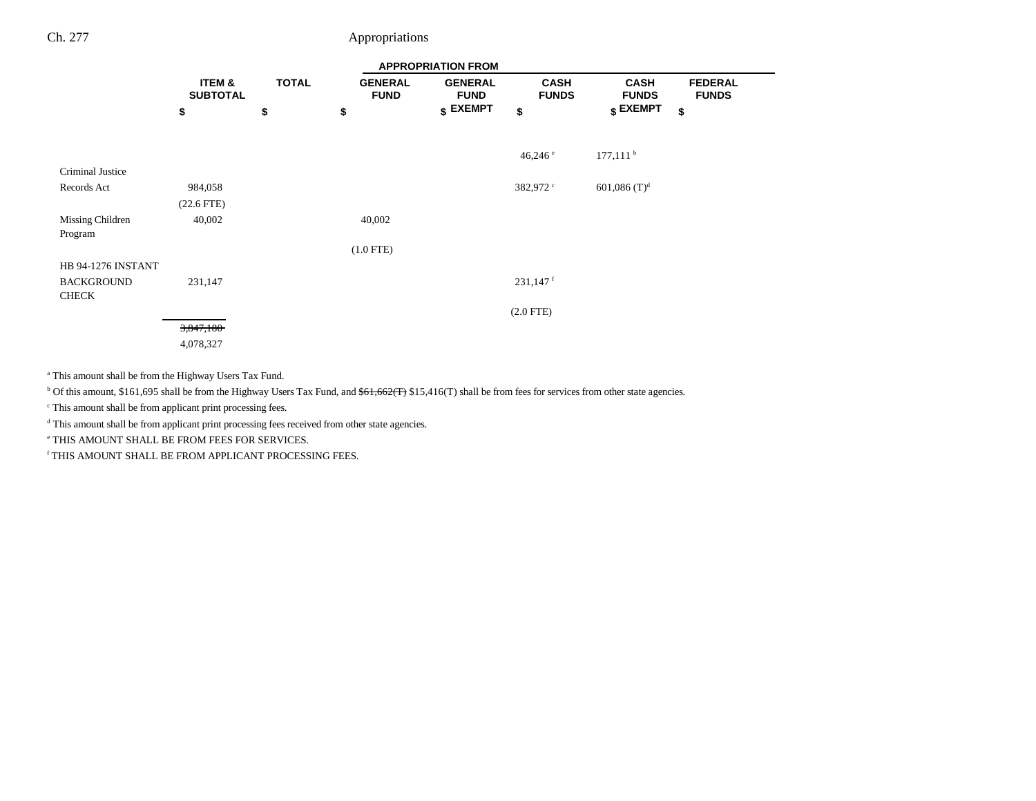|                           | <b>APPROPRIATION FROM</b> |              |    |                               |                               |                             |                             |                                |
|---------------------------|---------------------------|--------------|----|-------------------------------|-------------------------------|-----------------------------|-----------------------------|--------------------------------|
|                           | ITEM &<br><b>SUBTOTAL</b> | <b>TOTAL</b> |    | <b>GENERAL</b><br><b>FUND</b> | <b>GENERAL</b><br><b>FUND</b> | <b>CASH</b><br><b>FUNDS</b> | <b>CASH</b><br><b>FUNDS</b> | <b>FEDERAL</b><br><b>FUNDS</b> |
|                           | \$                        | \$           | \$ |                               | $$$ EXEMPT                    | \$                          | $$$ EXEMPT                  | \$                             |
|                           |                           |              |    |                               |                               |                             |                             |                                |
|                           |                           |              |    |                               |                               | 46,246 $^{\circ}$           | $177,111$ <sup>b</sup>      |                                |
| Criminal Justice          |                           |              |    |                               |                               |                             |                             |                                |
| Records Act               | 984,058                   |              |    |                               |                               | 382,972 °                   | 601,086 $(T)^d$             |                                |
|                           | $(22.6$ FTE)              |              |    |                               |                               |                             |                             |                                |
| Missing Children          | 40,002                    |              |    | 40,002                        |                               |                             |                             |                                |
| Program                   |                           |              |    |                               |                               |                             |                             |                                |
|                           |                           |              |    | $(1.0$ FTE)                   |                               |                             |                             |                                |
| <b>HB 94-1276 INSTANT</b> |                           |              |    |                               |                               |                             |                             |                                |
| <b>BACKGROUND</b>         | 231,147                   |              |    |                               |                               | $231,147$ <sup>f</sup>      |                             |                                |
| <b>CHECK</b>              |                           |              |    |                               |                               |                             |                             |                                |
|                           |                           |              |    |                               |                               | $(2.0$ FTE)                 |                             |                                |
|                           | 3,847,180                 |              |    |                               |                               |                             |                             |                                |
|                           | 4,078,327                 |              |    |                               |                               |                             |                             |                                |

a This amount shall be from the Highway Users Tax Fund.

<sup>b</sup> Of this amount, \$161,695 shall be from the Highway Users Tax Fund, and <del>\$61,662(T)</del> \$15,416(T) shall be from fees for services from other state agencies.

c This amount shall be from applicant print processing fees.

d This amount shall be from applicant print processing fees received from other state agencies.

e THIS AMOUNT SHALL BE FROM FEES FOR SERVICES.

 $^{\rm f}$  THIS AMOUNT SHALL BE FROM APPLICANT PROCESSING FEES.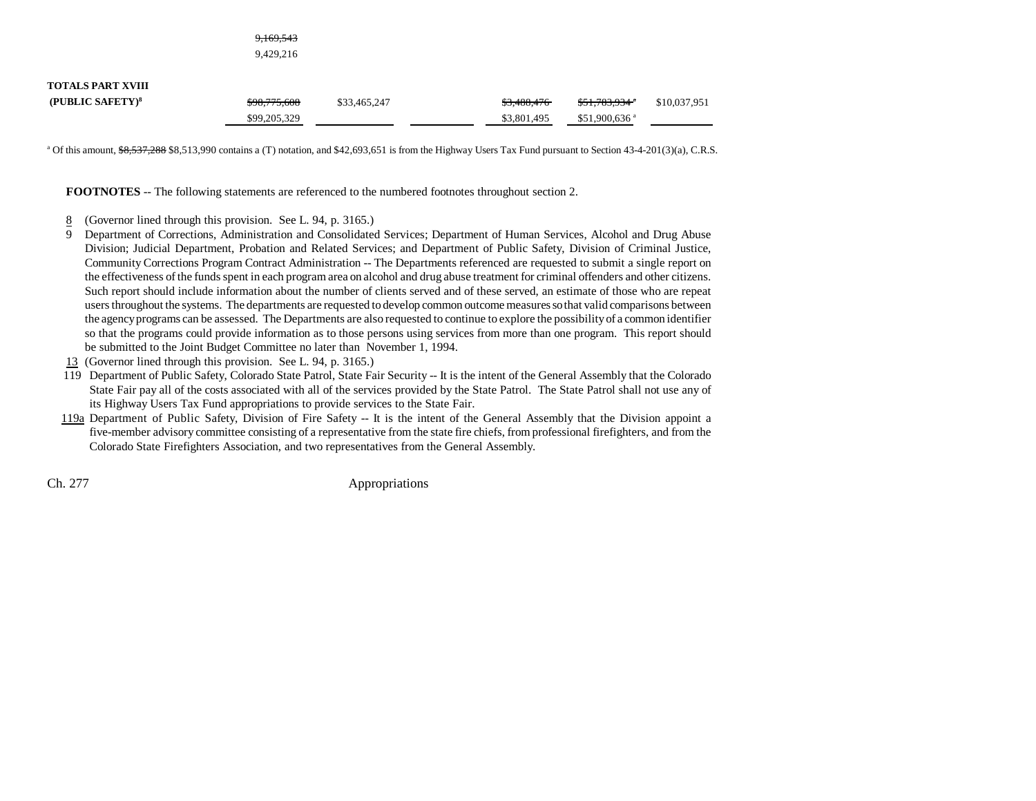|                                                          | <del>9,169,543</del><br>9,429,216 |              |                            |                                                          |              |
|----------------------------------------------------------|-----------------------------------|--------------|----------------------------|----------------------------------------------------------|--------------|
| <b>TOTALS PART XVIII</b><br>(PUBLIC SAFETY) <sup>8</sup> | \$98,775,608<br>\$99,205,329      | \$33,465,247 | \$3,488,476<br>\$3,801,495 | $$51,783,934$ <sup>4</sup><br>$$51,900,636$ <sup>a</sup> | \$10,037,951 |

<sup>a</sup> Of this amount,  $\frac{66,537,288}{8,513,990}$  contains a (T) notation, and \$42,693,651 is from the Highway Users Tax Fund pursuant to Section 43-4-201(3)(a), C.R.S.

**FOOTNOTES** -- The following statements are referenced to the numbered footnotes throughout section 2.

- 8(Governor lined through this provision. See L. 94, p. 3165.)
- 9 Department of Corrections, Administration and Consolidated Services; Department of Human Services, Alcohol and Drug Abuse Division; Judicial Department, Probation and Related Services; and Department of Public Safety, Division of Criminal Justice, Community Corrections Program Contract Administration -- The Departments referenced are requested to submit a single report on the effectiveness of the funds spent in each program area on alcohol and drug abuse treatment for criminal offenders and other citizens. Such report should include information about the number of clients served and of these served, an estimate of those who are repeat users throughout the systems. The departments are requested to develop common outcome measures so that valid comparisons between the agency programs can be assessed. The Departments are also requested to continue to explore the possibility of a common identifier so that the programs could provide information as to those persons using services from more than one program. This report should be submitted to the Joint Budget Committee no later than November 1, 1994.
- 13 (Governor lined through this provision. See L. 94, p. 3165.)
- 119 Department of Public Safety, Colorado State Patrol, State Fair Security -- It is the intent of the General Assembly that the Colorado State Fair pay all of the costs associated with all of the services provided by the State Patrol. The State Patrol shall not use any of its Highway Users Tax Fund appropriations to provide services to the State Fair.
- 119a Department of Public Safety, Division of Fire Safety -- It is the intent of the General Assembly that the Division appoint a five-member advisory committee consisting of a representative from the state fire chiefs, from professional firefighters, and from the Colorado State Firefighters Association, and two representatives from the General Assembly.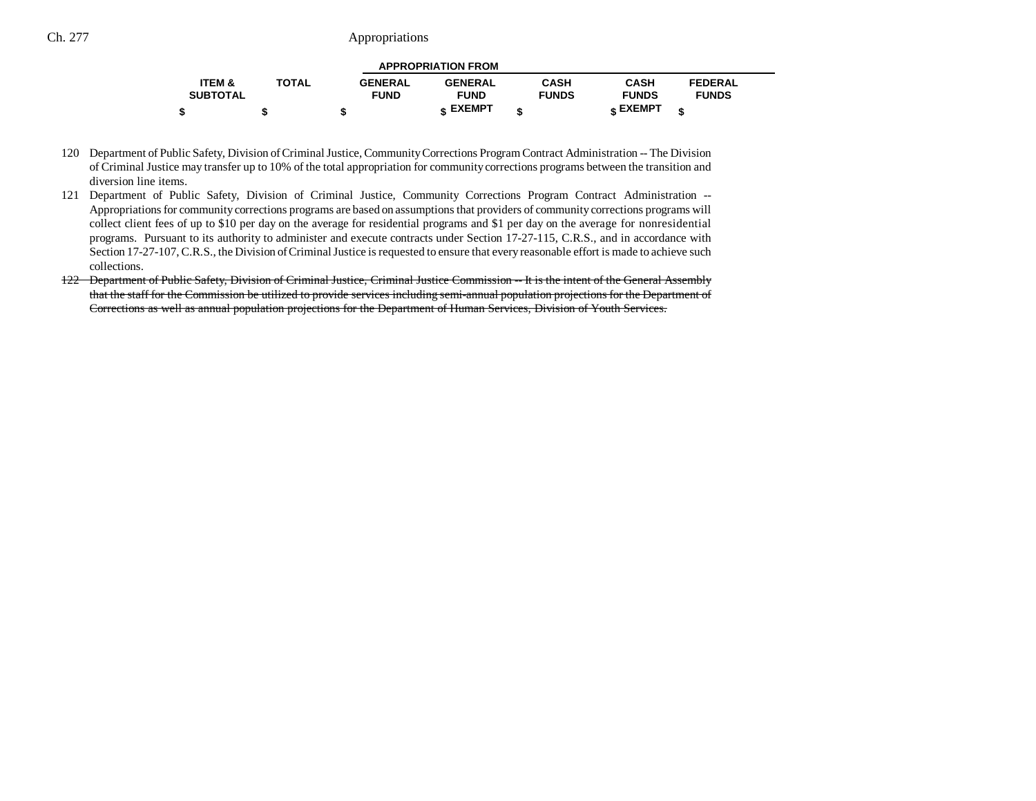| <b>APPROPRIATION FROM</b> |              |                |                |              |                 |                |  |  |
|---------------------------|--------------|----------------|----------------|--------------|-----------------|----------------|--|--|
| <b>ITEM &amp;</b>         | <b>TOTAL</b> | <b>GENERAL</b> | <b>GENERAL</b> | <b>CASH</b>  | <b>CASH</b>     | <b>FEDERAL</b> |  |  |
| <b>SUBTOTAL</b>           |              | <b>FUND</b>    | <b>FUND</b>    | <b>FUNDS</b> | <b>FUNDS</b>    | <b>FUNDS</b>   |  |  |
|                           |              |                | c EXEMPT       |              | <b>« EXEMPT</b> |                |  |  |

120 Department of Public Safety, Division of Criminal Justice, Community Corrections Program Contract Administration -- The Division of Criminal Justice may transfer up to 10% of the total appropriation for community corrections programs between the transition and diversion line items.

- 121 Department of Public Safety, Division of Criminal Justice, Community Corrections Program Contract Administration -- Appropriations for community corrections programs are based on assumptions that providers of community corrections programs will collect client fees of up to \$10 per day on the average for residential programs and \$1 per day on the average for nonresidential programs. Pursuant to its authority to administer and execute contracts under Section 17-27-115, C.R.S., and in accordance with Section 17-27-107, C.R.S., the Division of Criminal Justice is requested to ensure that every reasonable effort is made to achieve such collections.
- 122 Department of Public Safety, Division of Criminal Justice, Criminal Justice Commission -- It is the intent of the General Assembly that the staff for the Commission be utilized to provide services including semi-annual population projections for the Department of Corrections as well as annual population projections for the Department of Human Services, Division of Youth Services.